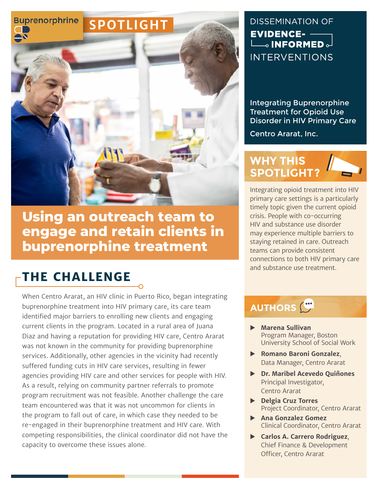

**Using an outreach team to engage and retain clients in buprenorphine treatment** 

# **THE CHALLENGE**

When Centro Ararat, an HIV clinic in Puerto Rico, began integrating buprenorphine treatment into HIV primary care, its care team identified major barriers to enrolling new clients and engaging current clients in the program. Located in a rural area of Juana Diaz and having a reputation for providing HIV care, Centro Ararat was not known in the community for providing buprenorphine services. Additionally, other agencies in the vicinity had recently suffered funding cuts in HIV care services, resulting in fewer agencies providing HIV care and other services for people with HIV. As a result, relying on community partner referrals to promote program recruitment was not feasible. Another challenge the care team encountered was that it was not uncommon for clients in the program to fall out of care, in which case they needed to be re-engaged in their buprenorphine treatment and HIV care. With competing responsibilities, the clinical coordinator did not have the capacity to overcome these issues alone.

#### **DISSEMINATION OF EVIDENCE- -** $\Box$  INFORMED  $\Box$ **INTERVENTIONS**

Integrating Buprenorphine Treatment for Opioid Use Disorder in HIV Primary Care

Centro Ararat, Inc.

#### **WHY THIS SPOTLIGHT?**

Integrating opioid treatment into HIV primary care settings is a particularly timely topic given the current opioid crisis. People with co-occurring HIV and substance use disorder may experience multiple barriers to staying retained in care. Outreach teams can provide consistent connections to both HIV primary care and substance use treatment.

## **AUTHORS**

- X **Marena Sullivan** Program Manager, Boston University School of Social Work
- X **Romano Baroni Gonzalez**, Data Manager, Centro Ararat
- X **Dr. Maribel Acevedo Quiñones** Principal Investigator, Centro Ararat
- X **Delgia Cruz Torres**  Project Coordinator, Centro Ararat
- X **Ana Gonzalez Gomez** Clinical Coordinator, Centro Ararat
- X **Carlos A. Carrero Rodriguez**, Chief Finance & Development Officer, Centro Ararat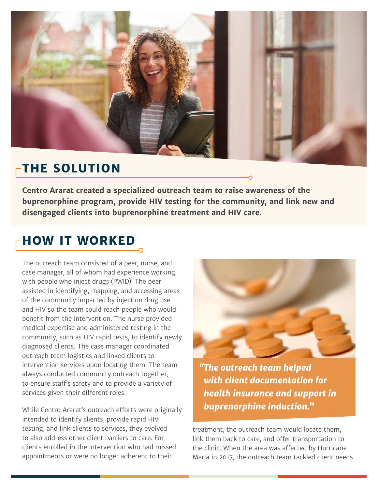

#### **THE SOLUTION**

**Centro Ararat created a specialized outreach team to raise awareness of the buprenorphine program, provide HIV testing for the community, and link new and disengaged clients into buprenorphine treatment and HIV care.**

## **HOW IT WORKED**

The outreach team consisted of a peer, nurse, and case manager, all of whom had experience working with people who inject drugs (PWID). The peer assisted in identifying, mapping, and accessing areas of the community impacted by injection drug use and HIV so the team could reach people who would benefit from the intervention. The nurse provided medical expertise and administered testing in the community, such as HIV rapid tests, to identify newly diagnosed clients. The case manager coordinated outreach team logistics and linked clients to intervention services upon locating them. The team always conducted community outreach together, to ensure staff's safety and to provide a variety of services given their different roles.

While Centro Ararat's outreach efforts were originally intended to identify clients, provide rapid HIV testing, and link clients to services, they evolved to also address other client barriers to care. For clients enrolled in the intervention who had missed appointments or were no longer adherent to their



*"The outreach team helped with client documentation for health insurance and support in buprenorphine induction."*

treatment, the outreach team would locate them, link them back to care, and offer transportation to the clinic. When the area was affected by Hurricane Maria in 2017, the outreach team tackled client needs